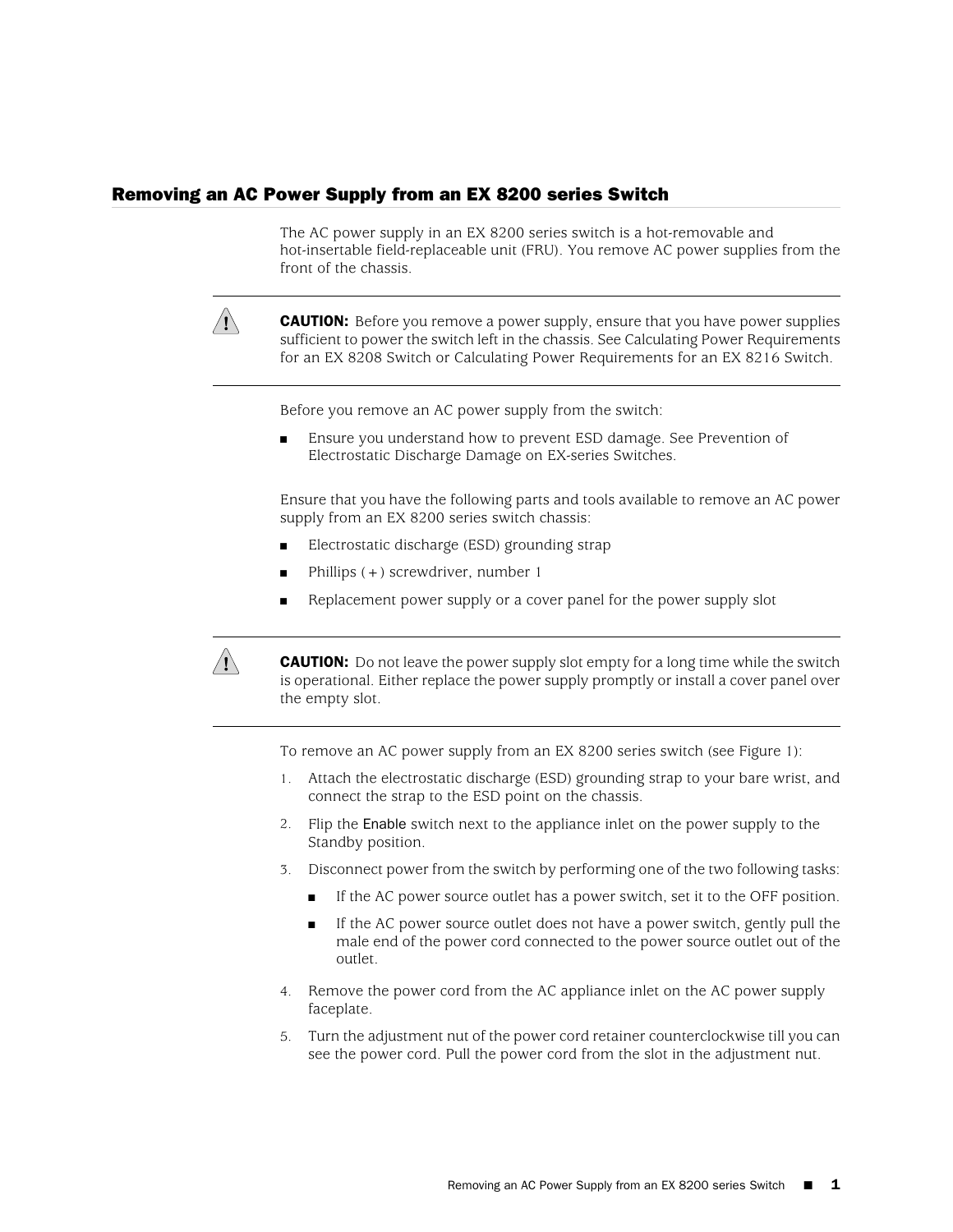## Removing an AC Power Supply from an EX 8200 series Switch

The AC power supply in an EX 8200 series switch is a hot-removable and hot-insertable field-replaceable unit (FRU). You remove AC power supplies from the front of the chassis.



**CAUTION:** Before you remove a power supply, ensure that you have power supplies sufficient to power the switch left in the chassis. See Calculating Power Requirements for an EX 8208 Switch or Calculating Power Requirements for an EX 8216 Switch.

Before you remove an AC power supply from the switch:

Ensure you understand how to prevent ESD damage. See Prevention of Electrostatic Discharge Damage on EX-series Switches.

Ensure that you have the following parts and tools available to remove an AC power supply from an EX 8200 series switch chassis:

- Electrostatic discharge (ESD) grounding strap
- Phillips  $(+)$  screwdriver, number 1
- Replacement power supply or a cover panel for the power supply slot



**CAUTION:** Do not leave the power supply slot empty for a long time while the switch is operational. Either replace the power supply promptly or install a cover panel over the empty slot.

To remove an AC power supply from an EX 8200 series switch (see [Figure 1](#page-1-0)):

- 1. Attach the electrostatic discharge (ESD) grounding strap to your bare wrist, and connect the strap to the ESD point on the chassis.
- 2. Flip the Enable switch next to the appliance inlet on the power supply to the Standby position.
- 3. Disconnect power from the switch by performing one of the two following tasks:
	- If the AC power source outlet has a power switch, set it to the OFF position.
	- If the AC power source outlet does not have a power switch, gently pull the male end of the power cord connected to the power source outlet out of the outlet.
- 4. Remove the power cord from the AC appliance inlet on the AC power supply faceplate.
- 5. Turn the adjustment nut of the power cord retainer counterclockwise till you can see the power cord. Pull the power cord from the slot in the adjustment nut.